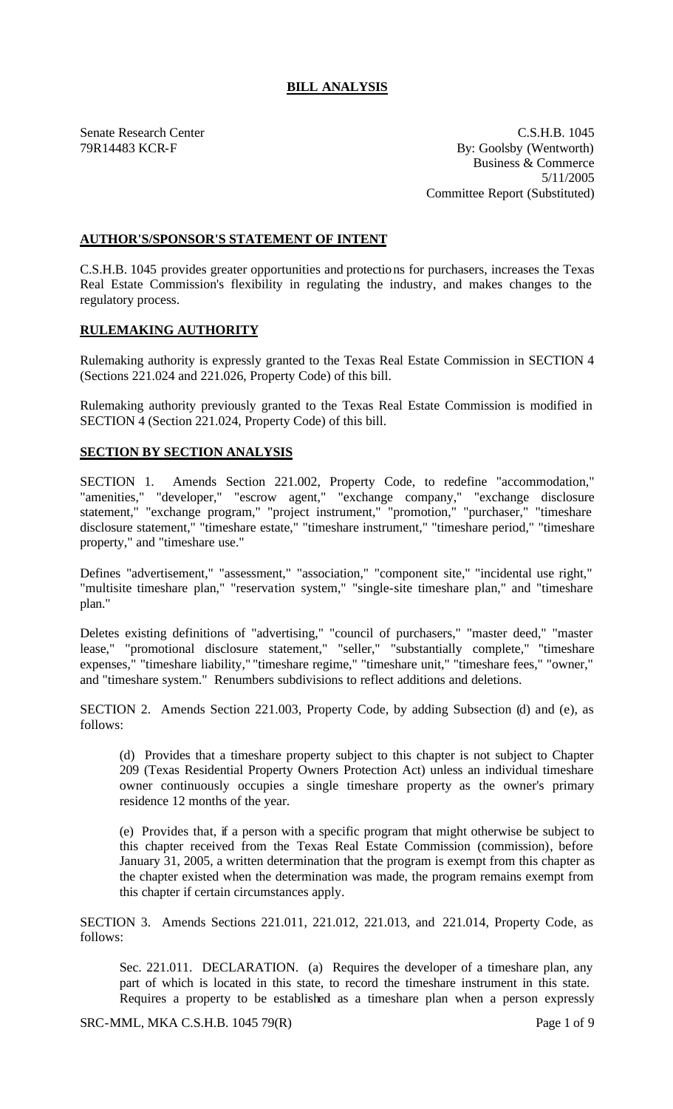## **BILL ANALYSIS**

Senate Research Center C.S.H.B. 1045 79R14483 KCR-F By: Goolsby (Wentworth) Business & Commerce 5/11/2005 Committee Report (Substituted)

## **AUTHOR'S/SPONSOR'S STATEMENT OF INTENT**

C.S.H.B. 1045 provides greater opportunities and protections for purchasers, increases the Texas Real Estate Commission's flexibility in regulating the industry, and makes changes to the regulatory process.

## **RULEMAKING AUTHORITY**

Rulemaking authority is expressly granted to the Texas Real Estate Commission in SECTION 4 (Sections 221.024 and 221.026, Property Code) of this bill.

Rulemaking authority previously granted to the Texas Real Estate Commission is modified in SECTION 4 (Section 221.024, Property Code) of this bill.

## **SECTION BY SECTION ANALYSIS**

SECTION 1. Amends Section 221.002, Property Code, to redefine "accommodation," "amenities," "developer," "escrow agent," "exchange company," "exchange disclosure statement," "exchange program," "project instrument," "promotion," "purchaser," "timeshare disclosure statement," "timeshare estate," "timeshare instrument," "timeshare period," "timeshare property," and "timeshare use."

Defines "advertisement," "assessment," "association," "component site," "incidental use right," "multisite timeshare plan," "reservation system," "single-site timeshare plan," and "timeshare plan."

Deletes existing definitions of "advertising," "council of purchasers," "master deed," "master lease," "promotional disclosure statement," "seller," "substantially complete," "timeshare expenses," "timeshare liability," "timeshare regime," "timeshare unit," "timeshare fees," "owner," and "timeshare system." Renumbers subdivisions to reflect additions and deletions.

SECTION 2. Amends Section 221.003, Property Code, by adding Subsection (d) and (e), as follows:

(d) Provides that a timeshare property subject to this chapter is not subject to Chapter 209 (Texas Residential Property Owners Protection Act) unless an individual timeshare owner continuously occupies a single timeshare property as the owner's primary residence 12 months of the year.

(e) Provides that, if a person with a specific program that might otherwise be subject to this chapter received from the Texas Real Estate Commission (commission), before January 31, 2005, a written determination that the program is exempt from this chapter as the chapter existed when the determination was made, the program remains exempt from this chapter if certain circumstances apply.

SECTION 3. Amends Sections 221.011, 221.012, 221.013, and 221.014, Property Code, as follows:

Sec. 221.011. DECLARATION. (a) Requires the developer of a timeshare plan, any part of which is located in this state, to record the timeshare instrument in this state. Requires a property to be established as a timeshare plan when a person expressly

SRC-MML, MKA C.S.H.B. 1045 79(R) Page 1 of 9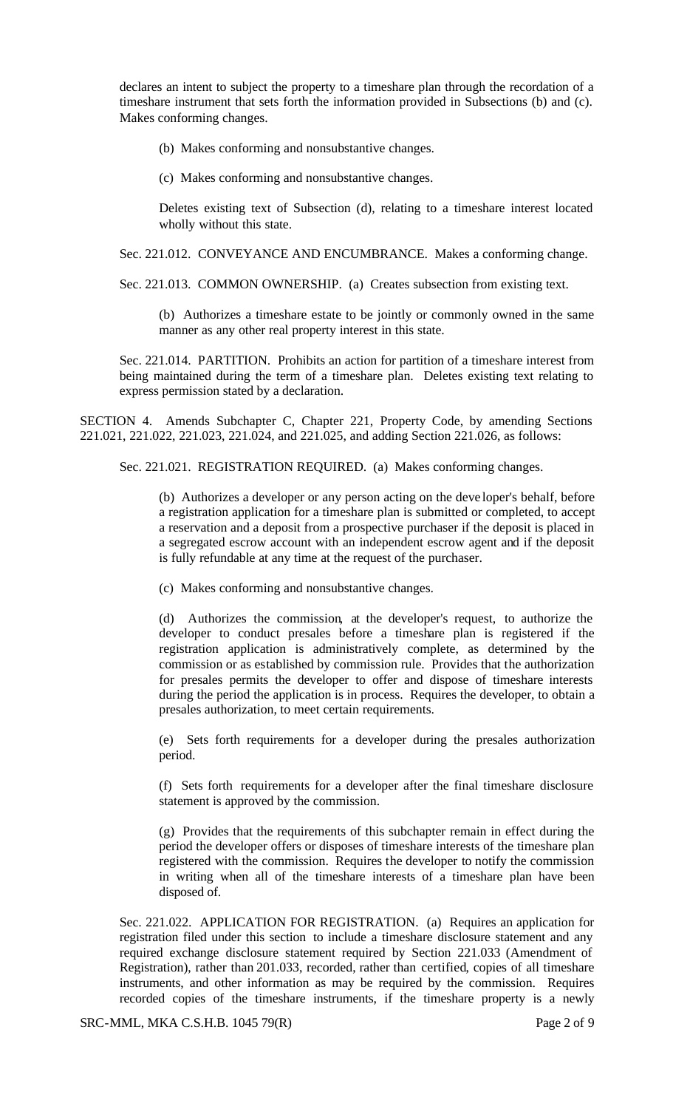declares an intent to subject the property to a timeshare plan through the recordation of a timeshare instrument that sets forth the information provided in Subsections (b) and (c). Makes conforming changes.

(b) Makes conforming and nonsubstantive changes.

(c) Makes conforming and nonsubstantive changes.

Deletes existing text of Subsection (d), relating to a timeshare interest located wholly without this state.

Sec. 221.012. CONVEYANCE AND ENCUMBRANCE. Makes a conforming change.

Sec. 221.013. COMMON OWNERSHIP. (a) Creates subsection from existing text.

(b) Authorizes a timeshare estate to be jointly or commonly owned in the same manner as any other real property interest in this state.

Sec. 221.014. PARTITION. Prohibits an action for partition of a timeshare interest from being maintained during the term of a timeshare plan. Deletes existing text relating to express permission stated by a declaration.

SECTION 4. Amends Subchapter C, Chapter 221, Property Code, by amending Sections 221.021, 221.022, 221.023, 221.024, and 221.025, and adding Section 221.026, as follows:

Sec. 221.021. REGISTRATION REQUIRED. (a) Makes conforming changes.

(b) Authorizes a developer or any person acting on the deve loper's behalf, before a registration application for a timeshare plan is submitted or completed, to accept a reservation and a deposit from a prospective purchaser if the deposit is placed in a segregated escrow account with an independent escrow agent and if the deposit is fully refundable at any time at the request of the purchaser.

(c) Makes conforming and nonsubstantive changes.

(d) Authorizes the commission, at the developer's request, to authorize the developer to conduct presales before a timeshare plan is registered if the registration application is administratively complete, as determined by the commission or as established by commission rule. Provides that the authorization for presales permits the developer to offer and dispose of timeshare interests during the period the application is in process. Requires the developer, to obtain a presales authorization, to meet certain requirements.

(e) Sets forth requirements for a developer during the presales authorization period.

(f) Sets forth requirements for a developer after the final timeshare disclosure statement is approved by the commission.

(g) Provides that the requirements of this subchapter remain in effect during the period the developer offers or disposes of timeshare interests of the timeshare plan registered with the commission. Requires the developer to notify the commission in writing when all of the timeshare interests of a timeshare plan have been disposed of.

Sec. 221.022. APPLICATION FOR REGISTRATION. (a) Requires an application for registration filed under this section to include a timeshare disclosure statement and any required exchange disclosure statement required by Section 221.033 (Amendment of Registration), rather than 201.033, recorded, rather than certified, copies of all timeshare instruments, and other information as may be required by the commission. Requires recorded copies of the timeshare instruments, if the timeshare property is a newly

SRC-MML, MKA C.S.H.B. 1045 79(R) Page 2 of 9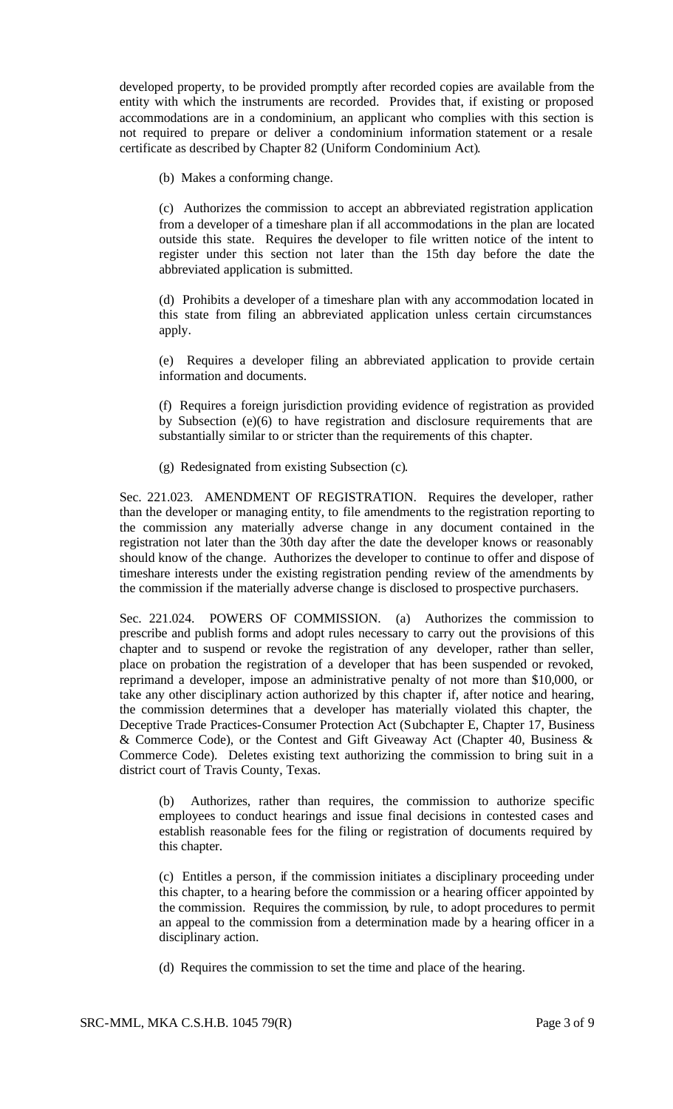developed property, to be provided promptly after recorded copies are available from the entity with which the instruments are recorded. Provides that, if existing or proposed accommodations are in a condominium, an applicant who complies with this section is not required to prepare or deliver a condominium information statement or a resale certificate as described by Chapter 82 (Uniform Condominium Act).

(b) Makes a conforming change.

(c) Authorizes the commission to accept an abbreviated registration application from a developer of a timeshare plan if all accommodations in the plan are located outside this state. Requires the developer to file written notice of the intent to register under this section not later than the 15th day before the date the abbreviated application is submitted.

(d) Prohibits a developer of a timeshare plan with any accommodation located in this state from filing an abbreviated application unless certain circumstances apply.

(e) Requires a developer filing an abbreviated application to provide certain information and documents.

(f) Requires a foreign jurisdiction providing evidence of registration as provided by Subsection (e)(6) to have registration and disclosure requirements that are substantially similar to or stricter than the requirements of this chapter.

(g) Redesignated from existing Subsection (c).

Sec. 221.023. AMENDMENT OF REGISTRATION. Requires the developer, rather than the developer or managing entity, to file amendments to the registration reporting to the commission any materially adverse change in any document contained in the registration not later than the 30th day after the date the developer knows or reasonably should know of the change. Authorizes the developer to continue to offer and dispose of timeshare interests under the existing registration pending review of the amendments by the commission if the materially adverse change is disclosed to prospective purchasers.

Sec. 221.024. POWERS OF COMMISSION. (a) Authorizes the commission to prescribe and publish forms and adopt rules necessary to carry out the provisions of this chapter and to suspend or revoke the registration of any developer, rather than seller, place on probation the registration of a developer that has been suspended or revoked, reprimand a developer, impose an administrative penalty of not more than \$10,000, or take any other disciplinary action authorized by this chapter if, after notice and hearing, the commission determines that a developer has materially violated this chapter, the Deceptive Trade Practices-Consumer Protection Act (Subchapter E, Chapter 17, Business & Commerce Code), or the Contest and Gift Giveaway Act (Chapter 40, Business & Commerce Code). Deletes existing text authorizing the commission to bring suit in a district court of Travis County, Texas.

(b) Authorizes, rather than requires, the commission to authorize specific employees to conduct hearings and issue final decisions in contested cases and establish reasonable fees for the filing or registration of documents required by this chapter.

(c) Entitles a person, if the commission initiates a disciplinary proceeding under this chapter, to a hearing before the commission or a hearing officer appointed by the commission. Requires the commission, by rule, to adopt procedures to permit an appeal to the commission from a determination made by a hearing officer in a disciplinary action.

(d) Requires the commission to set the time and place of the hearing.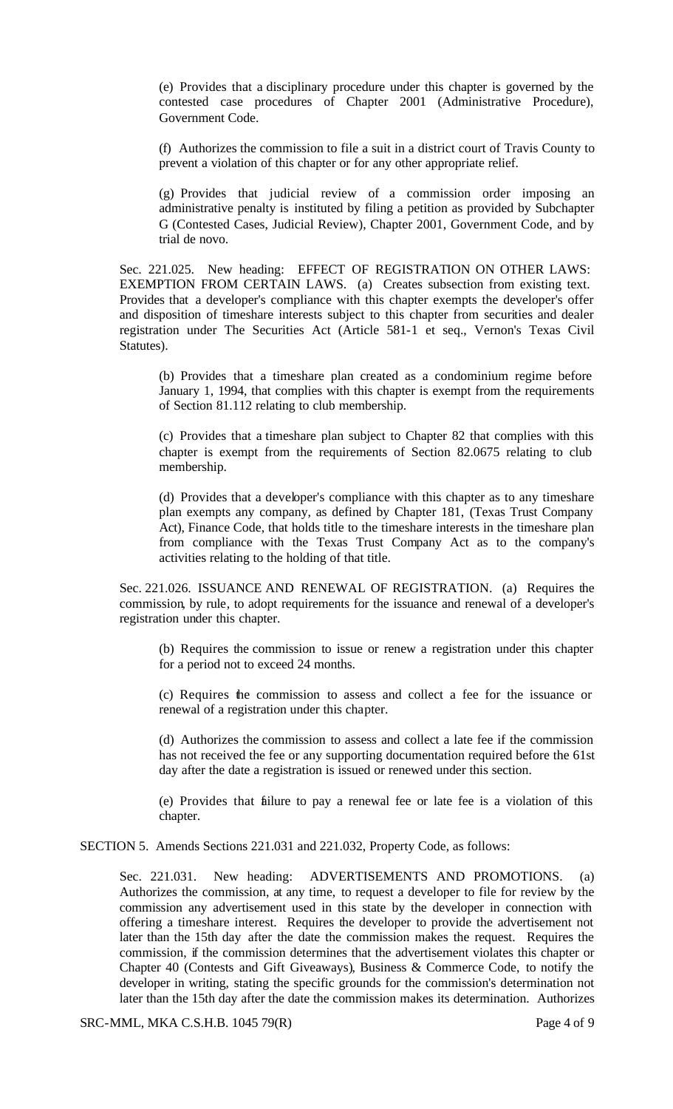(e) Provides that a disciplinary procedure under this chapter is governed by the contested case procedures of Chapter 2001 (Administrative Procedure), Government Code.

(f) Authorizes the commission to file a suit in a district court of Travis County to prevent a violation of this chapter or for any other appropriate relief.

(g) Provides that judicial review of a commission order imposing an administrative penalty is instituted by filing a petition as provided by Subchapter G (Contested Cases, Judicial Review), Chapter 2001, Government Code, and by trial de novo.

Sec. 221.025. New heading: EFFECT OF REGISTRATION ON OTHER LAWS: EXEMPTION FROM CERTAIN LAWS. (a) Creates subsection from existing text. Provides that a developer's compliance with this chapter exempts the developer's offer and disposition of timeshare interests subject to this chapter from securities and dealer registration under The Securities Act (Article 581-1 et seq., Vernon's Texas Civil Statutes).

(b) Provides that a timeshare plan created as a condominium regime before January 1, 1994, that complies with this chapter is exempt from the requirements of Section 81.112 relating to club membership.

(c) Provides that a timeshare plan subject to Chapter 82 that complies with this chapter is exempt from the requirements of Section 82.0675 relating to club membership.

(d) Provides that a developer's compliance with this chapter as to any timeshare plan exempts any company, as defined by Chapter 181, (Texas Trust Company Act), Finance Code, that holds title to the timeshare interests in the timeshare plan from compliance with the Texas Trust Company Act as to the company's activities relating to the holding of that title.

Sec. 221.026. ISSUANCE AND RENEWAL OF REGISTRATION. (a) Requires the commission, by rule, to adopt requirements for the issuance and renewal of a developer's registration under this chapter.

(b) Requires the commission to issue or renew a registration under this chapter for a period not to exceed 24 months.

(c) Requires the commission to assess and collect a fee for the issuance or renewal of a registration under this chapter.

(d) Authorizes the commission to assess and collect a late fee if the commission has not received the fee or any supporting documentation required before the 61st day after the date a registration is issued or renewed under this section.

(e) Provides that failure to pay a renewal fee or late fee is a violation of this chapter.

SECTION 5. Amends Sections 221.031 and 221.032, Property Code, as follows:

Sec. 221.031. New heading: ADVERTISEMENTS AND PROMOTIONS. (a) Authorizes the commission, at any time, to request a developer to file for review by the commission any advertisement used in this state by the developer in connection with offering a timeshare interest. Requires the developer to provide the advertisement not later than the 15th day after the date the commission makes the request. Requires the commission, if the commission determines that the advertisement violates this chapter or Chapter 40 (Contests and Gift Giveaways), Business & Commerce Code, to notify the developer in writing, stating the specific grounds for the commission's determination not later than the 15th day after the date the commission makes its determination. Authorizes

SRC-MML, MKA C.S.H.B. 1045 79(R) Page 4 of 9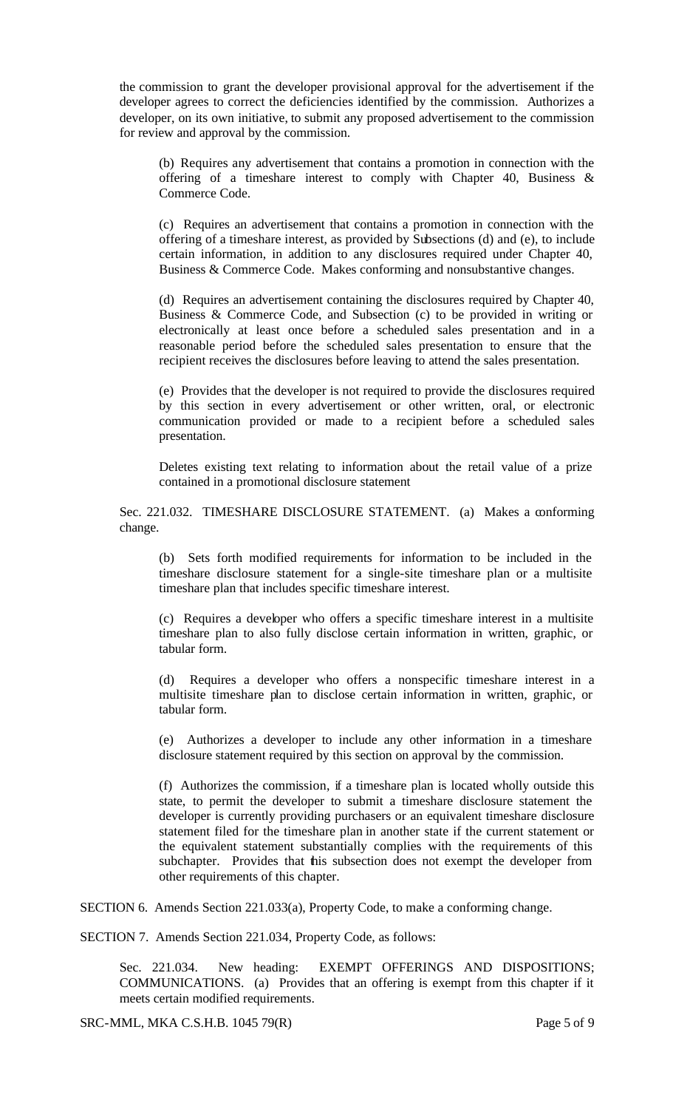the commission to grant the developer provisional approval for the advertisement if the developer agrees to correct the deficiencies identified by the commission. Authorizes a developer, on its own initiative, to submit any proposed advertisement to the commission for review and approval by the commission.

(b) Requires any advertisement that contains a promotion in connection with the offering of a timeshare interest to comply with Chapter 40, Business & Commerce Code.

(c) Requires an advertisement that contains a promotion in connection with the offering of a timeshare interest, as provided by Subsections (d) and (e), to include certain information, in addition to any disclosures required under Chapter 40, Business & Commerce Code. Makes conforming and nonsubstantive changes.

(d) Requires an advertisement containing the disclosures required by Chapter 40, Business & Commerce Code, and Subsection (c) to be provided in writing or electronically at least once before a scheduled sales presentation and in a reasonable period before the scheduled sales presentation to ensure that the recipient receives the disclosures before leaving to attend the sales presentation.

(e) Provides that the developer is not required to provide the disclosures required by this section in every advertisement or other written, oral, or electronic communication provided or made to a recipient before a scheduled sales presentation.

Deletes existing text relating to information about the retail value of a prize contained in a promotional disclosure statement

Sec. 221.032. TIMESHARE DISCLOSURE STATEMENT. (a) Makes a conforming change.

(b) Sets forth modified requirements for information to be included in the timeshare disclosure statement for a single-site timeshare plan or a multisite timeshare plan that includes specific timeshare interest.

(c) Requires a developer who offers a specific timeshare interest in a multisite timeshare plan to also fully disclose certain information in written, graphic, or tabular form.

(d) Requires a developer who offers a nonspecific timeshare interest in a multisite timeshare plan to disclose certain information in written, graphic, or tabular form.

(e) Authorizes a developer to include any other information in a timeshare disclosure statement required by this section on approval by the commission.

(f) Authorizes the commission, if a timeshare plan is located wholly outside this state, to permit the developer to submit a timeshare disclosure statement the developer is currently providing purchasers or an equivalent timeshare disclosure statement filed for the timeshare plan in another state if the current statement or the equivalent statement substantially complies with the requirements of this subchapter. Provides that this subsection does not exempt the developer from other requirements of this chapter.

SECTION 6. Amends Section 221.033(a), Property Code, to make a conforming change.

SECTION 7. Amends Section 221.034, Property Code, as follows:

Sec. 221.034. New heading: EXEMPT OFFERINGS AND DISPOSITIONS; COMMUNICATIONS. (a) Provides that an offering is exempt from this chapter if it meets certain modified requirements.

SRC-MML, MKA C.S.H.B. 1045 79(R) Page 5 of 9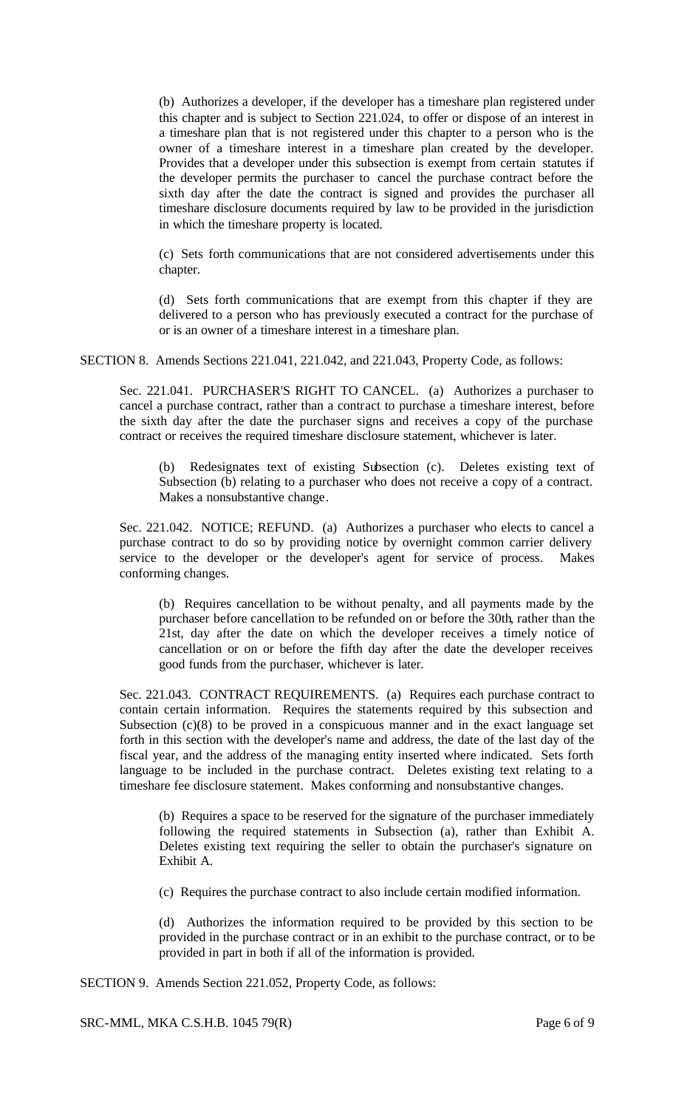(b) Authorizes a developer, if the developer has a timeshare plan registered under this chapter and is subject to Section 221.024, to offer or dispose of an interest in a timeshare plan that is not registered under this chapter to a person who is the owner of a timeshare interest in a timeshare plan created by the developer. Provides that a developer under this subsection is exempt from certain statutes if the developer permits the purchaser to cancel the purchase contract before the sixth day after the date the contract is signed and provides the purchaser all timeshare disclosure documents required by law to be provided in the jurisdiction in which the timeshare property is located.

(c) Sets forth communications that are not considered advertisements under this chapter.

(d) Sets forth communications that are exempt from this chapter if they are delivered to a person who has previously executed a contract for the purchase of or is an owner of a timeshare interest in a timeshare plan.

SECTION 8. Amends Sections 221.041, 221.042, and 221.043, Property Code, as follows:

Sec. 221.041. PURCHASER'S RIGHT TO CANCEL. (a) Authorizes a purchaser to cancel a purchase contract, rather than a contract to purchase a timeshare interest, before the sixth day after the date the purchaser signs and receives a copy of the purchase contract or receives the required timeshare disclosure statement, whichever is later.

(b) Redesignates text of existing Subsection (c). Deletes existing text of Subsection (b) relating to a purchaser who does not receive a copy of a contract. Makes a nonsubstantive change.

Sec. 221.042. NOTICE; REFUND. (a) Authorizes a purchaser who elects to cancel a purchase contract to do so by providing notice by overnight common carrier delivery service to the developer or the developer's agent for service of process. Makes conforming changes.

(b) Requires cancellation to be without penalty, and all payments made by the purchaser before cancellation to be refunded on or before the 30th, rather than the 21st, day after the date on which the developer receives a timely notice of cancellation or on or before the fifth day after the date the developer receives good funds from the purchaser, whichever is later.

Sec. 221.043. CONTRACT REQUIREMENTS. (a) Requires each purchase contract to contain certain information. Requires the statements required by this subsection and Subsection (c)(8) to be proved in a conspicuous manner and in the exact language set forth in this section with the developer's name and address, the date of the last day of the fiscal year, and the address of the managing entity inserted where indicated. Sets forth language to be included in the purchase contract. Deletes existing text relating to a timeshare fee disclosure statement. Makes conforming and nonsubstantive changes.

(b) Requires a space to be reserved for the signature of the purchaser immediately following the required statements in Subsection (a), rather than Exhibit A. Deletes existing text requiring the seller to obtain the purchaser's signature on Exhibit A.

(c) Requires the purchase contract to also include certain modified information.

(d) Authorizes the information required to be provided by this section to be provided in the purchase contract or in an exhibit to the purchase contract, or to be provided in part in both if all of the information is provided.

SECTION 9. Amends Section 221.052, Property Code, as follows:

SRC-MML, MKA C.S.H.B. 1045 79(R) Page 6 of 9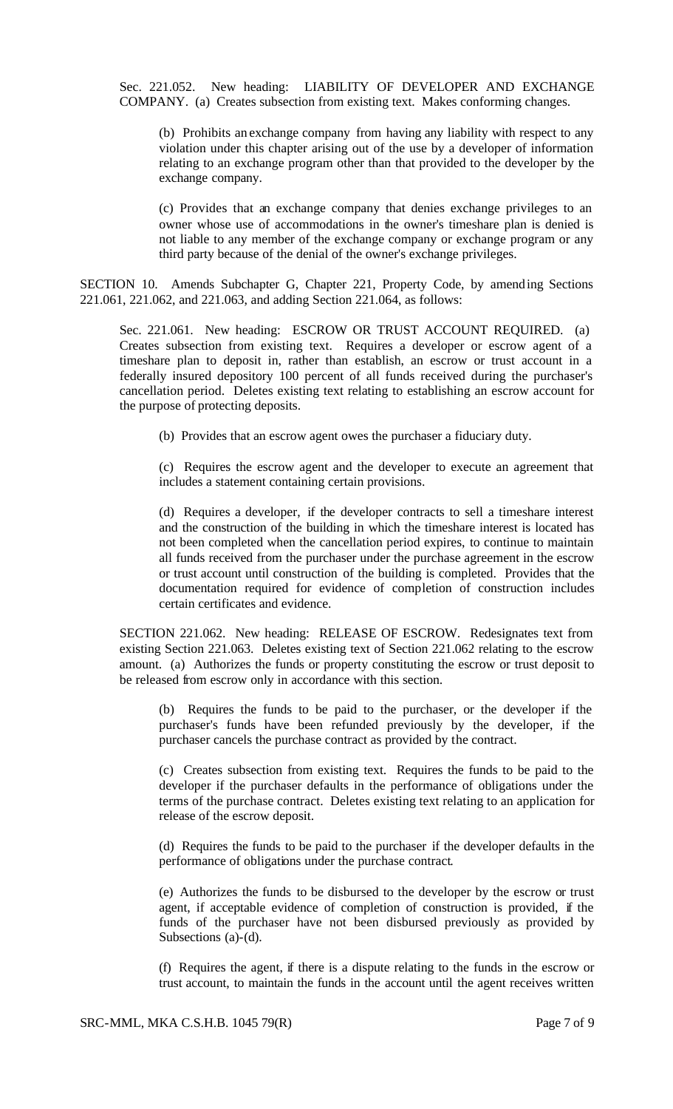Sec. 221.052. New heading: LIABILITY OF DEVELOPER AND EXCHANGE COMPANY. (a) Creates subsection from existing text. Makes conforming changes.

(b) Prohibits an exchange company from having any liability with respect to any violation under this chapter arising out of the use by a developer of information relating to an exchange program other than that provided to the developer by the exchange company.

(c) Provides that an exchange company that denies exchange privileges to an owner whose use of accommodations in the owner's timeshare plan is denied is not liable to any member of the exchange company or exchange program or any third party because of the denial of the owner's exchange privileges.

SECTION 10. Amends Subchapter G, Chapter 221, Property Code, by amending Sections 221.061, 221.062, and 221.063, and adding Section 221.064, as follows:

Sec. 221.061. New heading: ESCROW OR TRUST ACCOUNT REQUIRED. (a) Creates subsection from existing text. Requires a developer or escrow agent of a timeshare plan to deposit in, rather than establish, an escrow or trust account in a federally insured depository 100 percent of all funds received during the purchaser's cancellation period. Deletes existing text relating to establishing an escrow account for the purpose of protecting deposits.

(b) Provides that an escrow agent owes the purchaser a fiduciary duty.

(c) Requires the escrow agent and the developer to execute an agreement that includes a statement containing certain provisions.

(d) Requires a developer, if the developer contracts to sell a timeshare interest and the construction of the building in which the timeshare interest is located has not been completed when the cancellation period expires, to continue to maintain all funds received from the purchaser under the purchase agreement in the escrow or trust account until construction of the building is completed. Provides that the documentation required for evidence of completion of construction includes certain certificates and evidence.

SECTION 221.062. New heading: RELEASE OF ESCROW. Redesignates text from existing Section 221.063. Deletes existing text of Section 221.062 relating to the escrow amount. (a) Authorizes the funds or property constituting the escrow or trust deposit to be released from escrow only in accordance with this section.

(b) Requires the funds to be paid to the purchaser, or the developer if the purchaser's funds have been refunded previously by the developer, if the purchaser cancels the purchase contract as provided by the contract.

(c) Creates subsection from existing text. Requires the funds to be paid to the developer if the purchaser defaults in the performance of obligations under the terms of the purchase contract. Deletes existing text relating to an application for release of the escrow deposit.

(d) Requires the funds to be paid to the purchaser if the developer defaults in the performance of obligations under the purchase contract.

(e) Authorizes the funds to be disbursed to the developer by the escrow or trust agent, if acceptable evidence of completion of construction is provided, if the funds of the purchaser have not been disbursed previously as provided by Subsections (a)-(d).

(f) Requires the agent, if there is a dispute relating to the funds in the escrow or trust account, to maintain the funds in the account until the agent receives written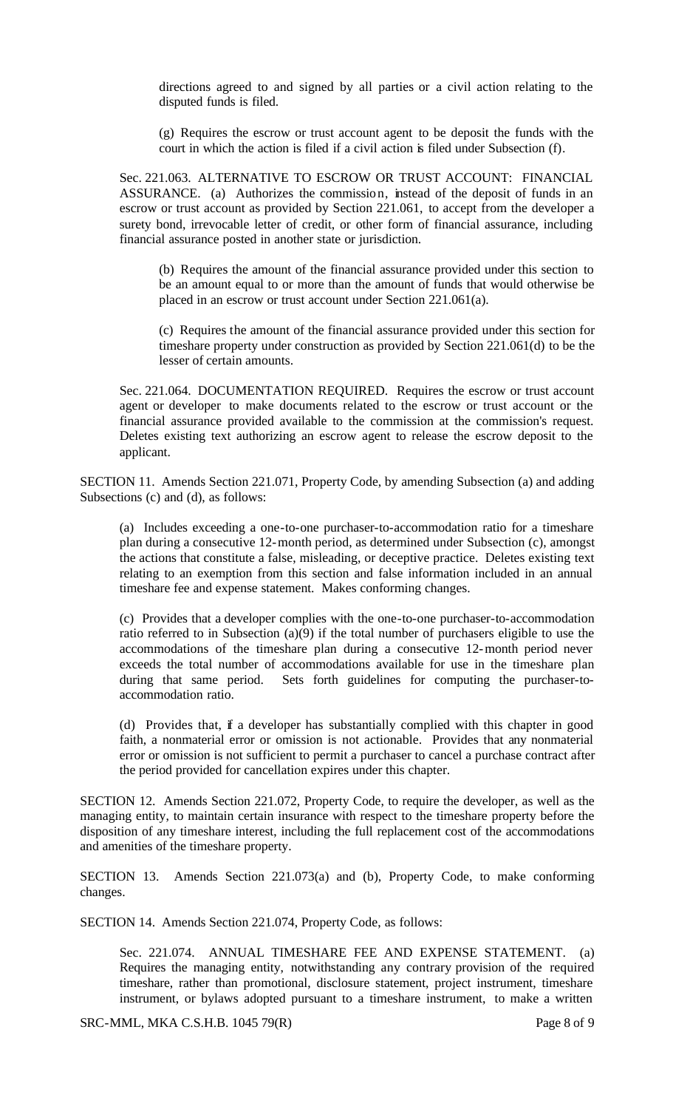directions agreed to and signed by all parties or a civil action relating to the disputed funds is filed.

(g) Requires the escrow or trust account agent to be deposit the funds with the court in which the action is filed if a civil action is filed under Subsection (f).

Sec. 221.063. ALTERNATIVE TO ESCROW OR TRUST ACCOUNT: FINANCIAL ASSURANCE. (a) Authorizes the commission, instead of the deposit of funds in an escrow or trust account as provided by Section 221.061, to accept from the developer a surety bond, irrevocable letter of credit, or other form of financial assurance, including financial assurance posted in another state or jurisdiction.

(b) Requires the amount of the financial assurance provided under this section to be an amount equal to or more than the amount of funds that would otherwise be placed in an escrow or trust account under Section 221.061(a).

(c) Requires the amount of the financial assurance provided under this section for timeshare property under construction as provided by Section 221.061(d) to be the lesser of certain amounts.

Sec. 221.064. DOCUMENTATION REQUIRED. Requires the escrow or trust account agent or developer to make documents related to the escrow or trust account or the financial assurance provided available to the commission at the commission's request. Deletes existing text authorizing an escrow agent to release the escrow deposit to the applicant.

SECTION 11. Amends Section 221.071, Property Code, by amending Subsection (a) and adding Subsections (c) and (d), as follows:

(a) Includes exceeding a one-to-one purchaser-to-accommodation ratio for a timeshare plan during a consecutive 12-month period, as determined under Subsection (c), amongst the actions that constitute a false, misleading, or deceptive practice. Deletes existing text relating to an exemption from this section and false information included in an annual timeshare fee and expense statement. Makes conforming changes.

(c) Provides that a developer complies with the one-to-one purchaser-to-accommodation ratio referred to in Subsection (a)(9) if the total number of purchasers eligible to use the accommodations of the timeshare plan during a consecutive 12-month period never exceeds the total number of accommodations available for use in the timeshare plan during that same period. Sets forth guidelines for computing the purchaser-toaccommodation ratio.

(d) Provides that, if a developer has substantially complied with this chapter in good faith, a nonmaterial error or omission is not actionable. Provides that any nonmaterial error or omission is not sufficient to permit a purchaser to cancel a purchase contract after the period provided for cancellation expires under this chapter.

SECTION 12. Amends Section 221.072, Property Code, to require the developer, as well as the managing entity, to maintain certain insurance with respect to the timeshare property before the disposition of any timeshare interest, including the full replacement cost of the accommodations and amenities of the timeshare property.

SECTION 13. Amends Section 221.073(a) and (b), Property Code, to make conforming changes.

SECTION 14. Amends Section 221.074, Property Code, as follows:

Sec. 221.074. ANNUAL TIMESHARE FEE AND EXPENSE STATEMENT. (a) Requires the managing entity, notwithstanding any contrary provision of the required timeshare, rather than promotional, disclosure statement, project instrument, timeshare instrument, or bylaws adopted pursuant to a timeshare instrument, to make a written

SRC-MML, MKA C.S.H.B. 1045 79(R) Page 8 of 9